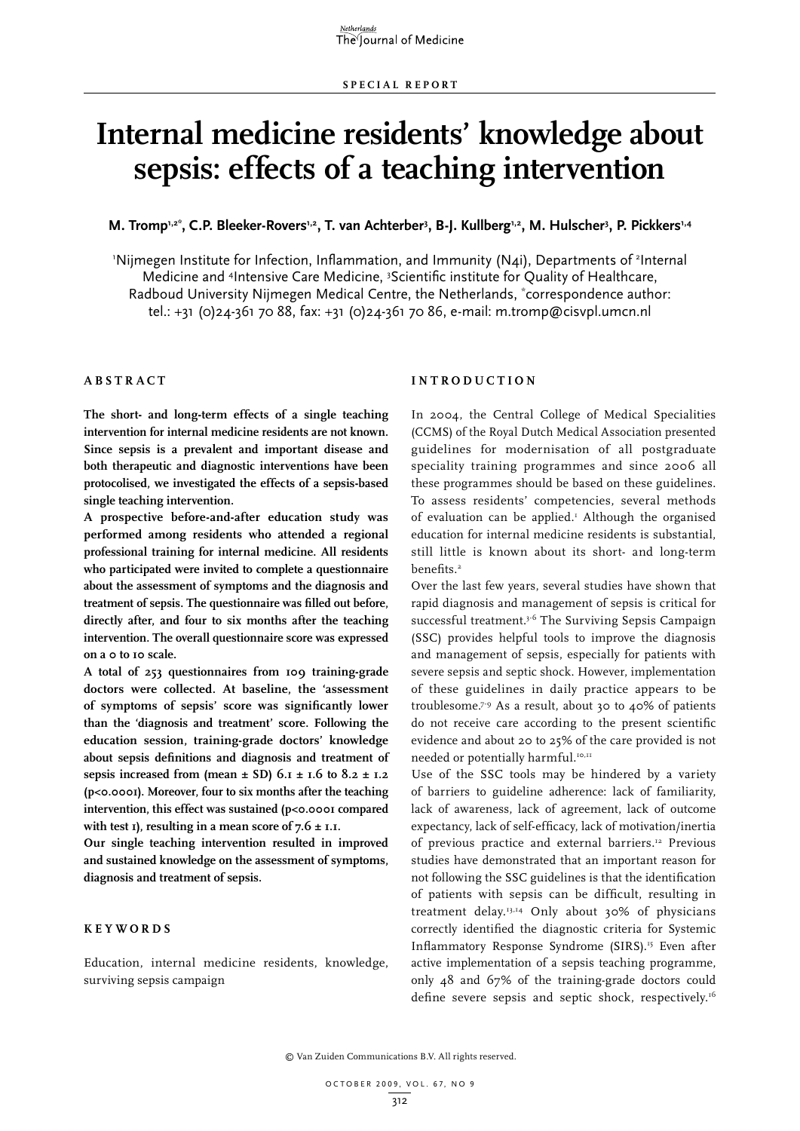# **Internal medicine residents' knowledge about sepsis: effects of a teaching intervention**

M. Tromp<sup>1,2\*</sup>, C.P. Bleeker-Rovers<sup>1,2</sup>, T. van Achterber<sup>3</sup>, B-J. Kullberg<sup>1,2</sup>, M. Hulscher<sup>3</sup>, P. Pickkers<sup>1,4</sup>

'Nijmegen Institute for Infection, Inflammation, and Immunity (N4i), Departments of <sup>2</sup>Internal Medicine and <sup>4</sup>Intensive Care Medicine, <sup>3</sup>Scientific institute for Quality of Healthcare, Radboud University Nijmegen Medical Centre, the Netherlands, \* correspondence author: tel.: +31 (0)24-361 70 88, fax: +31 (0)24-361 70 86, e-mail: m.tromp@cisvpl.umcn.nl

## **A bstra c t**

**The short- and long-term effects of a single teaching intervention for internal medicine residents are not known. Since sepsis is a prevalent and important disease and both therapeutic and diagnostic interventions have been protocolised, we investigated the effects of a sepsis-based single teaching intervention.** 

**A prospective before-and-after education study was performed among residents who attended a regional professional training for internal medicine. All residents who participated were invited to complete a questionnaire about the assessment of symptoms and the diagnosis and treatment of sepsis. The questionnaire was filled out before, directly after, and four to six months after the teaching intervention. The overall questionnaire score was expressed on a 0 to 10 scale.**

**A total of 253 questionnaires from 109 training-grade doctors were collected. At baseline, the 'assessment of symptoms of sepsis' score was significantly lower than the 'diagnosis and treatment' score. Following the education session, training-grade doctors' knowledge about sepsis definitions and diagnosis and treatment of**  sepsis increased from (mean  $\pm$  SD) 6.1  $\pm$  1.6 to 8.2  $\pm$  1.2 **(p<0.0001). Moreover, four to six months after the teaching intervention, this effect was sustained (p<0.0001 compared**  with test 1), resulting in a mean score of  $7.6 \pm 1.1$ .

**Our single teaching intervention resulted in improved and sustained knowledge on the assessment of symptoms, diagnosis and treatment of sepsis.** 

## **Keywords**

Education, internal medicine residents, knowledge, surviving sepsis campaign

## **I ntrodu c tion**

In 2004, the Central College of Medical Specialities (CCMS) of the Royal Dutch Medical Association presented guidelines for modernisation of all postgraduate speciality training programmes and since 2006 all these programmes should be based on these guidelines. To assess residents' competencies, several methods of evaluation can be applied.<sup>1</sup> Although the organised education for internal medicine residents is substantial, still little is known about its short- and long-term benefits.<sup>2</sup>

Over the last few years, several studies have shown that rapid diagnosis and management of sepsis is critical for successful treatment.<sup>3-6</sup> The Surviving Sepsis Campaign (SSC) provides helpful tools to improve the diagnosis and management of sepsis, especially for patients with severe sepsis and septic shock. However, implementation of these guidelines in daily practice appears to be troublesome.7-9 As a result, about 30 to 40% of patients do not receive care according to the present scientific evidence and about 20 to 25% of the care provided is not needed or potentially harmful.<sup>10,11</sup>

Use of the SSC tools may be hindered by a variety of barriers to guideline adherence: lack of familiarity, lack of awareness, lack of agreement, lack of outcome expectancy, lack of self-efficacy, lack of motivation/inertia of previous practice and external barriers.<sup>12</sup> Previous studies have demonstrated that an important reason for not following the SSC guidelines is that the identification of patients with sepsis can be difficult, resulting in treatment delay.13,14 Only about 30% of physicians correctly identified the diagnostic criteria for Systemic Inflammatory Response Syndrome (SIRS).15 Even after active implementation of a sepsis teaching programme, only 48 and 67% of the training-grade doctors could define severe sepsis and septic shock, respectively.16

© Van Zuiden Communications B.V. All rights reserved.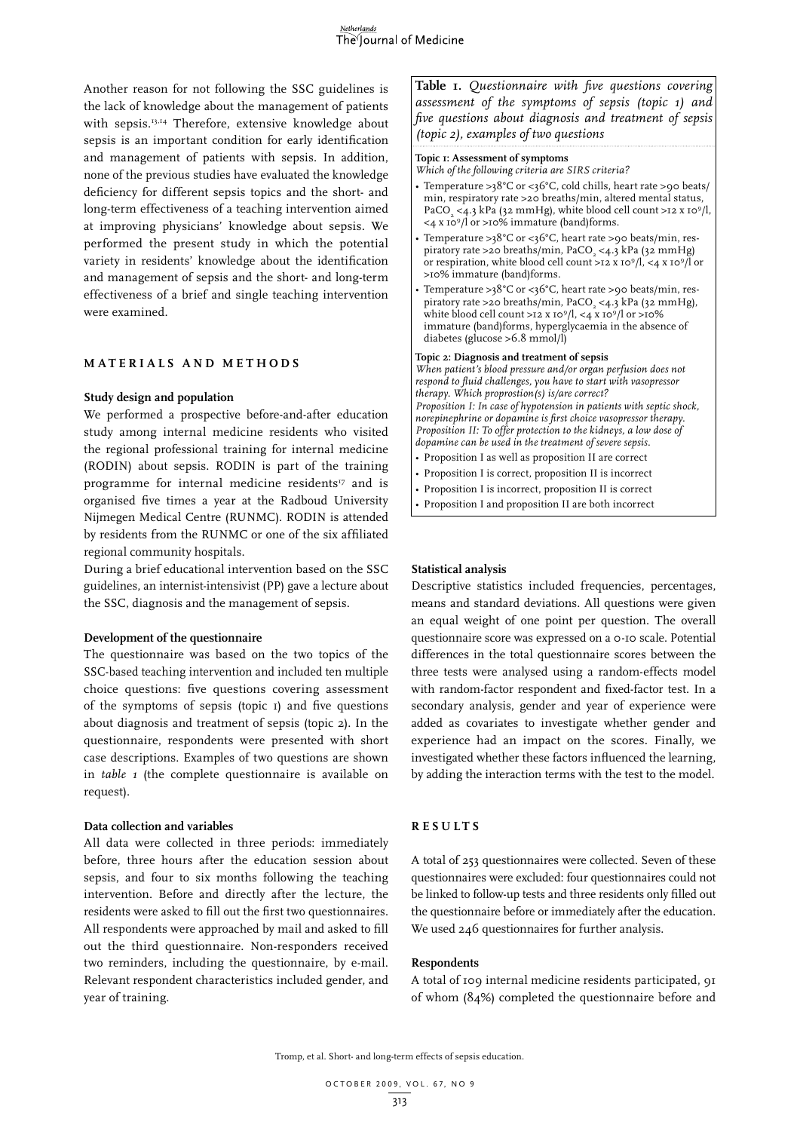Another reason for not following the SSC guidelines is the lack of knowledge about the management of patients with sepsis.<sup>13,14</sup> Therefore, extensive knowledge about sepsis is an important condition for early identification and management of patients with sepsis. In addition, none of the previous studies have evaluated the knowledge deficiency for different sepsis topics and the short- and long-term effectiveness of a teaching intervention aimed at improving physicians' knowledge about sepsis. We performed the present study in which the potential variety in residents' knowledge about the identification and management of sepsis and the short- and long-term effectiveness of a brief and single teaching intervention were examined.

## **MATERIALS AND METHODS**

## **Study design and population**

We performed a prospective before-and-after education study among internal medicine residents who visited the regional professional training for internal medicine (RODIN) about sepsis. RODIN is part of the training programme for internal medicine residents<sup>17</sup> and is organised five times a year at the Radboud University Nijmegen Medical Centre (RUNMC). RODIN is attended by residents from the RUNMC or one of the six affiliated regional community hospitals.

During a brief educational intervention based on the SSC guidelines, an internist-intensivist (PP) gave a lecture about the SSC, diagnosis and the management of sepsis.

## **Development of the questionnaire**

The questionnaire was based on the two topics of the SSC-based teaching intervention and included ten multiple choice questions: five questions covering assessment of the symptoms of sepsis (topic 1) and five questions about diagnosis and treatment of sepsis (topic 2). In the questionnaire, respondents were presented with short case descriptions. Examples of two questions are shown in *table 1* (the complete questionnaire is available on request).

## **Data collection and variables**

All data were collected in three periods: immediately before, three hours after the education session about sepsis, and four to six months following the teaching intervention. Before and directly after the lecture, the residents were asked to fill out the first two questionnaires. All respondents were approached by mail and asked to fill out the third questionnaire. Non-responders received two reminders, including the questionnaire, by e-mail. Relevant respondent characteristics included gender, and year of training.

**Table 1.** *Questionnaire with five questions covering assessment of the symptoms of sepsis (topic 1) and five questions about diagnosis and treatment of sepsis (topic 2), examples of two questions*

## **Topic 1: Assessment of symptoms**

*Which of the following criteria are SIRS criteria?*

- Temperature >38°C or <36°C, cold chills, heart rate >90 beats/ min, respiratory rate >20 breaths/min, altered mental status, PaCO<sub>2</sub> <4.3 kPa (32 mmHg), white blood cell count >12 x 10<sup>9</sup>/l,  $\leq$  4 x 10<sup>9</sup>/l or  $>$ 10% immature (band)forms.
- Temperature >38°C or <36°C, heart rate >90 beats/min, respiratory rate >20 breaths/min, PaCO<sub>2</sub> <4.3 kPa (32 mmHg) or respiration, white blood cell count >12 x 109/l, <4 x 109/l or >10% immature (band)forms.
- Temperature >38°C or <36°C, heart rate >90 beats/min, respiratory rate >20 breaths/min, PaCO<sub>2</sub> <4.3 kPa (32 mmHg), white blood cell count >12 x 10<sup>9</sup>/l, <4 x 10<sup>9</sup>/l or >10% immature (band)forms, hyperglycaemia in the absence of diabetes (glucose >6.8 mmol/l)

#### **Topic 2: Diagnosis and treatment of sepsis**

*When patient's blood pressure and/or organ perfusion does not respond to fluid challenges, you have to start with vasopressor therapy. Which proprostion(s) is/are correct? Proposition I: In case of hypotension in patients with septic shock, norepinephrine or dopamine is first choice vasopressor therapy. Proposition II: To offer protection to the kidneys, a low dose of dopamine can be used in the treatment of severe sepsis.*

• Proposition I as well as proposition II are correct

• Proposition I is correct, proposition II is incorrect

- Proposition I is incorrect, proposition II is correct
- Proposition I and proposition II are both incorrect

## **Statistical analysis**

Descriptive statistics included frequencies, percentages, means and standard deviations. All questions were given an equal weight of one point per question. The overall questionnaire score was expressed on a 0-10 scale. Potential differences in the total questionnaire scores between the three tests were analysed using a random-effects model with random-factor respondent and fixed-factor test. In a secondary analysis, gender and year of experience were added as covariates to investigate whether gender and experience had an impact on the scores. Finally, we investigated whether these factors influenced the learning, by adding the interaction terms with the test to the model.

## **R esults**

A total of 253 questionnaires were collected. Seven of these questionnaires were excluded: four questionnaires could not be linked to follow-up tests and three residents only filled out the questionnaire before or immediately after the education. We used 246 questionnaires for further analysis.

## **Respondents**

A total of 109 internal medicine residents participated, 91 of whom (84%) completed the questionnaire before and

Tromp, et al. Short- and long-term effects of sepsis education.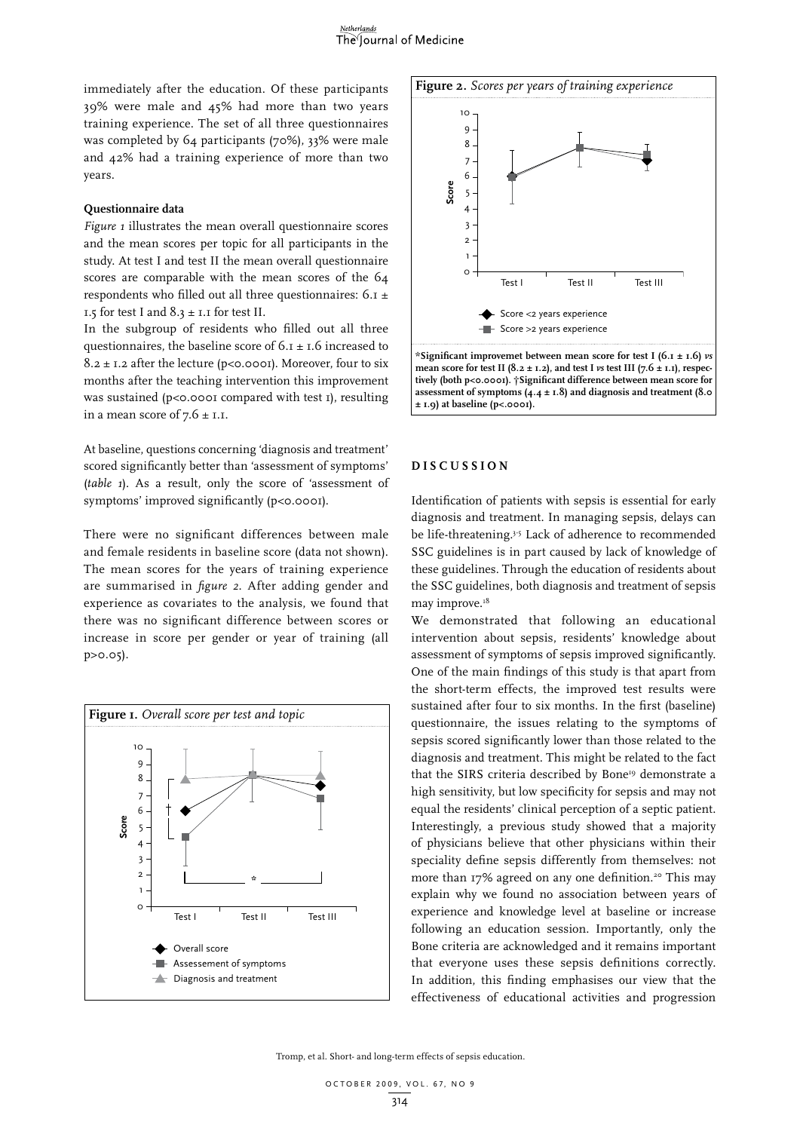immediately after the education. Of these participants 39% were male and 45% had more than two years training experience. The set of all three questionnaires was completed by 64 participants (70%), 33% were male and 42% had a training experience of more than two years.

## **Questionnaire data**

*Figure 1* illustrates the mean overall questionnaire scores and the mean scores per topic for all participants in the study. At test I and test II the mean overall questionnaire scores are comparable with the mean scores of the 64 respondents who filled out all three questionnaires: 6.1 ± 1.5 for test I and  $8.3 \pm 1.1$  for test II.

In the subgroup of residents who filled out all three questionnaires, the baseline score of  $6 \cdot 1 \pm 1.6$  increased to  $8.2 \pm 1.2$  after the lecture (p<0.0001). Moreover, four to six months after the teaching intervention this improvement was sustained (p<0.0001 compared with test 1), resulting in a mean score of  $7.6 \pm 1.1$ .

At baseline, questions concerning 'diagnosis and treatment' scored significantly better than 'assessment of symptoms' (*table 1*). As a result, only the score of 'assessment of symptoms' improved significantly (p<0.0001).

There were no significant differences between male and female residents in baseline score (data not shown). The mean scores for the years of training experience are summarised in *figure 2*. After adding gender and experience as covariates to the analysis, we found that there was no significant difference between scores or increase in score per gender or year of training (all p>0.05).





mean score for test II (8.2  $\pm$  1.2), and test I *vs* test III (7.6  $\pm$  1.1), respec**tively (both p<0.0001). †Significant difference between mean score for assessment of symptoms (4.4 ± 1.8) and diagnosis and treatment (8.0 ± 1.9) at baseline (p<.0001).**

#### **D i s c ussion**

Identification of patients with sepsis is essential for early diagnosis and treatment. In managing sepsis, delays can be life-threatening.<sup>3-5</sup> Lack of adherence to recommended SSC guidelines is in part caused by lack of knowledge of these guidelines. Through the education of residents about the SSC guidelines, both diagnosis and treatment of sepsis may improve.<sup>18</sup>

We demonstrated that following an educational intervention about sepsis, residents' knowledge about assessment of symptoms of sepsis improved significantly. One of the main findings of this study is that apart from the short-term effects, the improved test results were sustained after four to six months. In the first (baseline) questionnaire, the issues relating to the symptoms of sepsis scored significantly lower than those related to the diagnosis and treatment. This might be related to the fact that the SIRS criteria described by Bone<sup>19</sup> demonstrate a high sensitivity, but low specificity for sepsis and may not equal the residents' clinical perception of a septic patient. Interestingly, a previous study showed that a majority of physicians believe that other physicians within their speciality define sepsis differently from themselves: not more than 17% agreed on any one definition.<sup>20</sup> This may explain why we found no association between years of experience and knowledge level at baseline or increase following an education session. Importantly, only the Bone criteria are acknowledged and it remains important that everyone uses these sepsis definitions correctly. In addition, this finding emphasises our view that the effectiveness of educational activities and progression

Tromp, et al. Short- and long-term effects of sepsis education.